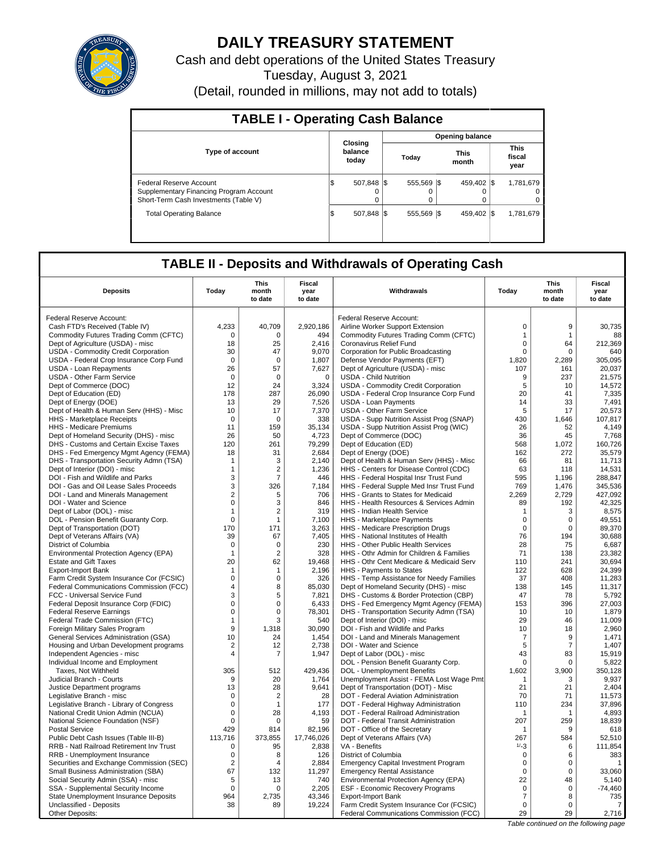

# **DAILY TREASURY STATEMENT**

Cash and debt operations of the United States Treasury Tuesday, August 3, 2021

(Detail, rounded in millions, may not add to totals)

| <b>TABLE I - Operating Cash Balance</b>                                                                     |                             |          |                 |  |                        |  |                               |  |  |  |  |
|-------------------------------------------------------------------------------------------------------------|-----------------------------|----------|-----------------|--|------------------------|--|-------------------------------|--|--|--|--|
|                                                                                                             |                             |          |                 |  | <b>Opening balance</b> |  |                               |  |  |  |  |
| <b>Type of account</b>                                                                                      | Closing<br>balance<br>today |          | Today           |  | <b>This</b><br>month   |  | <b>This</b><br>fiscal<br>year |  |  |  |  |
| Federal Reserve Account<br>Supplementary Financing Program Account<br>Short-Term Cash Investments (Table V) | 507.848 \\$<br>S            | $\Omega$ | 555.569 \$<br>0 |  | 459.402 \\$            |  | 1,781,679<br>0<br>0           |  |  |  |  |
| <b>Total Operating Balance</b>                                                                              | 507.848 \\$<br>1\$          |          | 555.569 \$      |  | 459.402 \\$            |  | 1,781,679                     |  |  |  |  |

# **TABLE II - Deposits and Withdrawals of Operating Cash**

| <b>Deposits</b>                                                    | Today                            | <b>This</b><br>month<br>to date  | <b>Fiscal</b><br>year<br>to date | Withdrawals                                                                     | Today               | <b>This</b><br>month<br>to date | <b>Fiscal</b><br>year<br>to date |
|--------------------------------------------------------------------|----------------------------------|----------------------------------|----------------------------------|---------------------------------------------------------------------------------|---------------------|---------------------------------|----------------------------------|
| Federal Reserve Account:                                           |                                  |                                  |                                  | Federal Reserve Account:                                                        |                     |                                 |                                  |
| Cash FTD's Received (Table IV)                                     | 4,233                            | 40,709                           | 2,920,186                        | Airline Worker Support Extension                                                | $\mathbf 0$         | 9                               | 30,735                           |
| Commodity Futures Trading Comm (CFTC)                              | 0                                | $\Omega$                         | 494                              | Commodity Futures Trading Comm (CFTC)                                           | $\mathbf{1}$        | $\mathbf{1}$                    | 88                               |
| Dept of Agriculture (USDA) - misc                                  | 18                               | 25                               | 2.416                            | Coronavirus Relief Fund                                                         | $\mathbf 0$         | 64                              | 212,369                          |
| USDA - Commodity Credit Corporation                                | 30                               | 47                               | 9,070                            | Corporation for Public Broadcasting                                             | 0                   | $\mathbf 0$                     | 640                              |
| USDA - Federal Crop Insurance Corp Fund                            | $\mathbf 0$                      | $\Omega$                         | 1,807                            | Defense Vendor Payments (EFT)                                                   | 1,820               | 2,289                           | 305,095                          |
| USDA - Loan Repayments                                             | 26                               | 57                               | 7.627                            | Dept of Agriculture (USDA) - misc                                               | 107                 | 161                             | 20.037                           |
| <b>USDA - Other Farm Service</b>                                   | $\mathbf 0$                      | $\mathbf 0$                      | $\mathbf 0$                      | <b>USDA - Child Nutrition</b>                                                   | 9                   | 237                             | 21,575                           |
| Dept of Commerce (DOC)                                             | 12                               | 24                               | 3,324                            | USDA - Commodity Credit Corporation                                             | 5                   | 10                              | 14,572                           |
| Dept of Education (ED)                                             | 178                              | 287                              | 26,090                           | USDA - Federal Crop Insurance Corp Fund                                         | 20                  | 41                              | 7,335                            |
| Dept of Energy (DOE)                                               | 13                               | 29                               | 7,526                            | <b>USDA - Loan Payments</b>                                                     | 14                  | 33                              | 7,491                            |
| Dept of Health & Human Serv (HHS) - Misc                           | 10                               | 17                               | 7,370                            | <b>USDA - Other Farm Service</b>                                                | 5                   | 17                              | 20,573                           |
| HHS - Marketplace Receipts                                         | $\Omega$                         | $\Omega$                         | 338                              | USDA - Supp Nutrition Assist Prog (SNAP)                                        | 430                 | 1,646                           | 107,817                          |
| <b>HHS - Medicare Premiums</b>                                     | 11                               | 159                              | 35,134                           | USDA - Supp Nutrition Assist Prog (WIC)                                         | 26                  | 52                              | 4.149                            |
| Dept of Homeland Security (DHS) - misc                             | 26                               | 50                               | 4,723                            | Dept of Commerce (DOC)                                                          | 36                  | 45                              | 7,768                            |
| DHS - Customs and Certain Excise Taxes                             | 120                              | 261                              | 79,299                           | Dept of Education (ED)                                                          | 568                 | 1,072                           | 160,726                          |
| DHS - Fed Emergency Mgmt Agency (FEMA)                             | 18                               | 31                               | 2,684                            | Dept of Energy (DOE)                                                            | 162                 | 272                             | 35,579                           |
| DHS - Transportation Security Admn (TSA)                           | $\mathbf 1$                      | 3                                | 2.140                            | Dept of Health & Human Serv (HHS) - Misc                                        | 66                  | 81                              | 11,713                           |
| Dept of Interior (DOI) - misc<br>DOI - Fish and Wildlife and Parks | $\mathbf{1}$<br>3                | $\overline{2}$<br>$\overline{7}$ | 1,236<br>446                     | HHS - Centers for Disease Control (CDC)                                         | 63<br>595           | 118<br>1.196                    | 14,531<br>288,847                |
| DOI - Gas and Oil Lease Sales Proceeds                             | 3                                | 326                              | 7,184                            | HHS - Federal Hospital Insr Trust Fund                                          | 769                 | 1,476                           | 345,536                          |
| DOI - Land and Minerals Management                                 | $\overline{2}$                   | 5                                | 706                              | HHS - Federal Supple Med Insr Trust Fund<br>HHS - Grants to States for Medicaid | 2,269               | 2,729                           | 427,092                          |
| DOI - Water and Science                                            | $\mathbf 0$                      | 3                                | 846                              | HHS - Health Resources & Services Admin                                         | 89                  | 192                             | 42,325                           |
| Dept of Labor (DOL) - misc                                         | $\mathbf 1$                      | $\overline{2}$                   | 319                              | HHS - Indian Health Service                                                     | $\mathbf{1}$        | 3                               | 8,575                            |
| DOL - Pension Benefit Guaranty Corp.                               | $\mathbf 0$                      | $\mathbf{1}$                     | 7,100                            | HHS - Marketplace Payments                                                      | $\mathbf 0$         | 0                               | 49,551                           |
| Dept of Transportation (DOT)                                       | 170                              | 171                              | 3,263                            | HHS - Medicare Prescription Drugs                                               | $\mathbf 0$         | $\mathbf 0$                     | 89,370                           |
| Dept of Veterans Affairs (VA)                                      | 39                               | 67                               | 7,405                            | HHS - National Institutes of Health                                             | 76                  | 194                             | 30,688                           |
| District of Columbia                                               | 0                                | $\mathbf 0$                      | 230                              | <b>HHS - Other Public Health Services</b>                                       | 28                  | 75                              | 6.687                            |
| Environmental Protection Agency (EPA)                              | $\mathbf{1}$                     | $\overline{2}$                   | 328                              | HHS - Othr Admin for Children & Families                                        | 71                  | 138                             | 23,382                           |
| <b>Estate and Gift Taxes</b>                                       | 20                               | 62                               | 19.468                           | HHS - Othr Cent Medicare & Medicaid Serv                                        | 110                 | 241                             | 30.694                           |
| <b>Export-Import Bank</b>                                          | 1                                | $\mathbf{1}$                     | 2,196                            | HHS - Payments to States                                                        | 122                 | 628                             | 24,399                           |
| Farm Credit System Insurance Cor (FCSIC)                           | $\mathbf 0$                      | $\Omega$                         | 326                              | HHS - Temp Assistance for Needy Families                                        | 37                  | 408                             | 11,283                           |
| Federal Communications Commission (FCC)                            | 4                                | 8                                | 85,030                           | Dept of Homeland Security (DHS) - misc                                          | 138                 | 145                             | 11,317                           |
| FCC - Universal Service Fund                                       | 3                                | 5                                | 7,821                            | DHS - Customs & Border Protection (CBP)                                         | 47                  | 78                              | 5,792                            |
| Federal Deposit Insurance Corp (FDIC)                              | 0                                | 0                                | 6,433                            | DHS - Fed Emergency Mgmt Agency (FEMA)                                          | 153                 | 396                             | 27,003                           |
| <b>Federal Reserve Earnings</b>                                    | 0                                | 0                                | 78,301                           | DHS - Transportation Security Admn (TSA)                                        | 10                  | 10                              | 1,879                            |
| Federal Trade Commission (FTC)                                     | $\mathbf{1}$                     | 3                                | 540                              | Dept of Interior (DOI) - misc                                                   | 29                  | 46                              | 11,009                           |
| Foreign Military Sales Program                                     | 9                                | 1,318                            | 30,090                           | DOI - Fish and Wildlife and Parks                                               | 10                  | 18                              | 2,960                            |
| General Services Administration (GSA)                              | 10                               | 24                               | 1,454                            | DOI - Land and Minerals Management                                              | $\overline{7}$<br>5 | 9                               | 1,471                            |
| Housing and Urban Development programs                             | $\overline{2}$<br>$\overline{4}$ | 12<br>$\overline{7}$             | 2,738<br>1,947                   | DOI - Water and Science                                                         | 43                  | $\overline{7}$<br>83            | 1,407<br>15,919                  |
| Independent Agencies - misc<br>Individual Income and Employment    |                                  |                                  |                                  | Dept of Labor (DOL) - misc<br>DOL - Pension Benefit Guaranty Corp.              | $\Omega$            | $\Omega$                        | 5.822                            |
| Taxes, Not Withheld                                                | 305                              | 512                              | 429,436                          | DOL - Unemployment Benefits                                                     | 1,602               | 3,900                           | 350,128                          |
| Judicial Branch - Courts                                           | 9                                | 20                               | 1,764                            | Unemployment Assist - FEMA Lost Wage Pmt                                        | $\mathbf{1}$        | 3                               | 9,937                            |
| Justice Department programs                                        | 13                               | 28                               | 9,641                            | Dept of Transportation (DOT) - Misc                                             | 21                  | 21                              | 2,404                            |
| Legislative Branch - misc                                          | $\Omega$                         | 2                                | 28                               | DOT - Federal Aviation Administration                                           | 70                  | 71                              | 11,573                           |
| Legislative Branch - Library of Congress                           | $\mathbf 0$                      | 1                                | 177                              | DOT - Federal Highway Administration                                            | 110                 | 234                             | 37,896                           |
| National Credit Union Admin (NCUA)                                 | $\mathsf 0$                      | 28                               | 4,193                            | DOT - Federal Railroad Administration                                           | -1                  | $\overline{1}$                  | 4,893                            |
| National Science Foundation (NSF)                                  | $\mathbf 0$                      | $\Omega$                         | 59                               | DOT - Federal Transit Administration                                            | 207                 | 259                             | 18.839                           |
| <b>Postal Service</b>                                              | 429                              | 814                              | 82,196                           | DOT - Office of the Secretary                                                   | -1                  | 9                               | 618                              |
| Public Debt Cash Issues (Table III-B)                              | 113,716                          | 373,855                          | 17,746,026                       | Dept of Veterans Affairs (VA)                                                   | 267                 | 584                             | 52,510                           |
| RRB - Natl Railroad Retirement Inv Trust                           | 0                                | 95                               | 2,838                            | VA - Benefits                                                                   | $1/-3$              | 6                               | 111,854                          |
| RRB - Unemployment Insurance                                       | $\mathbf 0$                      | 8                                | 126                              | District of Columbia                                                            | $\mathbf 0$         | 6                               | 383                              |
| Securities and Exchange Commission (SEC)                           | $\overline{2}$                   | 4                                | 2,884                            | <b>Emergency Capital Investment Program</b>                                     | $\mathbf 0$         | 0                               | -1                               |
| Small Business Administration (SBA)                                | 67                               | 132                              | 11,297                           | <b>Emergency Rental Assistance</b>                                              | $\Omega$            | $\Omega$                        | 33,060                           |
| Social Security Admin (SSA) - misc                                 | 5                                | 13                               | 740                              | Environmental Protection Agency (EPA)                                           | 22                  | 48                              | 5,140                            |
| SSA - Supplemental Security Income                                 | $\mathbf 0$                      | 0                                | 2,205                            | ESF - Economic Recovery Programs                                                | $\mathbf 0$         | $\mathbf 0$                     | $-74,460$                        |
| State Unemployment Insurance Deposits                              | 964                              | 2,735                            | 43,346                           | <b>Export-Import Bank</b>                                                       | $\overline{7}$      | 8                               | 735                              |
| Unclassified - Deposits                                            | 38                               | 89                               | 19,224                           | Farm Credit System Insurance Cor (FCSIC)                                        | $\mathbf 0$<br>29   | $\Omega$<br>29                  | 7                                |
| Other Deposits:                                                    |                                  |                                  |                                  | Federal Communications Commission (FCC)                                         |                     |                                 | 2,716                            |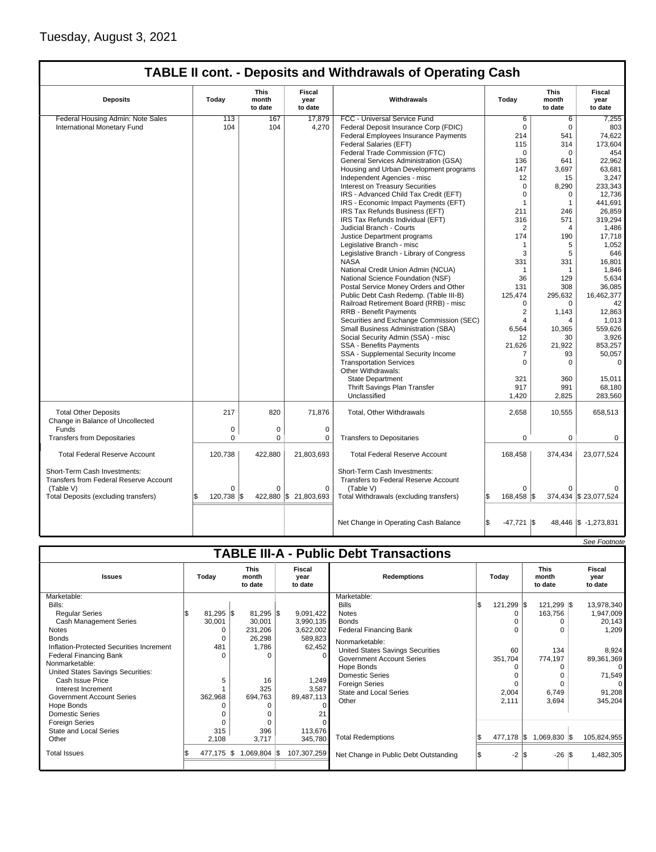|                                                                               |                                                                                      |             |                       | <b>TABLE II cont. - Deposits and Withdrawals of Operating Cash</b>          |                     |                                 |                           |
|-------------------------------------------------------------------------------|--------------------------------------------------------------------------------------|-------------|-----------------------|-----------------------------------------------------------------------------|---------------------|---------------------------------|---------------------------|
| <b>Deposits</b>                                                               | <b>Fiscal</b><br>This<br>month<br>Today<br>year<br>Withdrawals<br>to date<br>to date |             |                       |                                                                             | Today               | <b>This</b><br>month<br>to date | Fiscal<br>year<br>to date |
| Federal Housing Admin: Note Sales                                             | 113                                                                                  | 167         | 17,879                | FCC - Universal Service Fund                                                | 6                   | 6                               | 7,255                     |
| International Monetary Fund                                                   | 104                                                                                  | 104         | 4,270                 | Federal Deposit Insurance Corp (FDIC)                                       | $\Omega$            | $\Omega$                        | 803                       |
|                                                                               |                                                                                      |             |                       | Federal Employees Insurance Payments                                        | 214                 | 541                             | 74,622                    |
|                                                                               |                                                                                      |             |                       | Federal Salaries (EFT)                                                      | 115                 | 314                             | 173,604                   |
|                                                                               |                                                                                      |             |                       | Federal Trade Commission (FTC)                                              | $\mathbf 0$         | 0                               | 454                       |
|                                                                               |                                                                                      |             |                       | General Services Administration (GSA)                                       | 136                 | 641                             | 22,962                    |
|                                                                               |                                                                                      |             |                       | Housing and Urban Development programs                                      | 147                 | 3,697                           | 63,681                    |
|                                                                               |                                                                                      |             |                       | Independent Agencies - misc                                                 | 12                  | 15                              | 3,247                     |
|                                                                               |                                                                                      |             |                       | <b>Interest on Treasury Securities</b>                                      | $\mathbf 0$         | 8,290                           | 233,343                   |
|                                                                               |                                                                                      |             |                       | IRS - Advanced Child Tax Credit (EFT)                                       | $\mathbf 0$         | 0                               | 12,736                    |
|                                                                               |                                                                                      |             |                       |                                                                             | $\overline{1}$      | $\mathbf{1}$                    | 441,691                   |
|                                                                               |                                                                                      |             |                       | IRS - Economic Impact Payments (EFT)                                        |                     |                                 |                           |
|                                                                               |                                                                                      |             |                       | IRS Tax Refunds Business (EFT)                                              | 211                 | 246                             | 26,859                    |
|                                                                               |                                                                                      |             |                       | IRS Tax Refunds Individual (EFT)                                            | 316                 | 571                             | 319,294                   |
|                                                                               |                                                                                      |             |                       | Judicial Branch - Courts                                                    | $\overline{2}$      | 4                               | 1,486                     |
|                                                                               |                                                                                      |             |                       | Justice Department programs                                                 | 174                 | 190                             | 17,718                    |
|                                                                               |                                                                                      |             |                       | Legislative Branch - misc                                                   | $\overline{1}$      | 5                               | 1,052                     |
|                                                                               |                                                                                      |             |                       | Legislative Branch - Library of Congress                                    | 3                   | 5                               | 646                       |
|                                                                               |                                                                                      |             |                       | <b>NASA</b>                                                                 | 331                 | 331                             | 16,801                    |
|                                                                               |                                                                                      |             |                       | National Credit Union Admin (NCUA)                                          | $\mathbf{1}$        | $\mathbf{1}$                    | 1,846                     |
|                                                                               |                                                                                      |             |                       | National Science Foundation (NSF)                                           | 36                  | 129                             | 5,634                     |
|                                                                               |                                                                                      |             |                       | Postal Service Money Orders and Other                                       | 131                 | 308                             | 36,085                    |
|                                                                               |                                                                                      |             |                       | Public Debt Cash Redemp. (Table III-B)                                      | 125,474             | 295,632                         | 16,462,377                |
|                                                                               |                                                                                      |             |                       | Railroad Retirement Board (RRB) - misc                                      | $\Omega$            | $\Omega$                        | 42                        |
|                                                                               |                                                                                      |             |                       | <b>RRB - Benefit Payments</b>                                               | $\overline{2}$      | 1,143                           | 12,863                    |
|                                                                               |                                                                                      |             |                       | Securities and Exchange Commission (SEC)                                    | $\overline{4}$      | 4                               | 1,013                     |
|                                                                               |                                                                                      |             |                       | Small Business Administration (SBA)                                         | 6,564               | 10,365                          | 559,626                   |
|                                                                               |                                                                                      |             |                       | Social Security Admin (SSA) - misc                                          | 12                  | 30                              | 3,926                     |
|                                                                               |                                                                                      |             |                       | SSA - Benefits Payments                                                     | 21,626              | 21,922                          | 853,257                   |
|                                                                               |                                                                                      |             |                       | SSA - Supplemental Security Income                                          | 7                   | 93                              | 50,057                    |
|                                                                               |                                                                                      |             |                       | <b>Transportation Services</b>                                              | $\mathbf 0$         | 0                               | $\Omega$                  |
|                                                                               |                                                                                      |             |                       | Other Withdrawals:                                                          |                     |                                 |                           |
|                                                                               |                                                                                      |             |                       | <b>State Department</b>                                                     | 321                 | 360                             | 15,011                    |
|                                                                               |                                                                                      |             |                       | Thrift Savings Plan Transfer                                                | 917                 | 991                             | 68,180                    |
|                                                                               |                                                                                      |             |                       | Unclassified                                                                | 1,420               | 2,825                           | 283,560                   |
| <b>Total Other Deposits</b><br>Change in Balance of Uncollected               | 217                                                                                  | 820         | 71,876                | Total, Other Withdrawals                                                    | 2,658               | 10,555                          | 658,513                   |
| Funds                                                                         | 0                                                                                    | 0           | 0                     |                                                                             |                     |                                 |                           |
| <b>Transfers from Depositaries</b>                                            | 0                                                                                    | $\mathbf 0$ | 0                     | <b>Transfers to Depositaries</b>                                            | $\mathbf 0$         | $\mathbf 0$                     | $\mathbf 0$               |
|                                                                               |                                                                                      |             |                       |                                                                             |                     |                                 |                           |
| <b>Total Federal Reserve Account</b>                                          | 120,738                                                                              | 422,880     | 21,803,693            | <b>Total Federal Reserve Account</b>                                        | 168,458             | 374,434                         | 23,077,524                |
| Short-Term Cash Investments:<br><b>Transfers from Federal Reserve Account</b> |                                                                                      |             |                       | Short-Term Cash Investments:<br><b>Transfers to Federal Reserve Account</b> |                     |                                 |                           |
| (Table V)                                                                     | 0                                                                                    | $\Omega$    | $\Omega$              | (Table V)                                                                   | $\Omega$<br>l\$     | $\Omega$                        |                           |
| Total Deposits (excluding transfers)                                          | 120,738 \$                                                                           |             | 422,880 \$ 21,803,693 | Total Withdrawals (excluding transfers)                                     | 168,458 \$          |                                 | 374,434 \$ 23,077,524     |
|                                                                               |                                                                                      |             |                       |                                                                             |                     |                                 |                           |
|                                                                               |                                                                                      |             |                       | Net Change in Operating Cash Balance                                        | 1\$<br>$-47,721$ \$ |                                 | 48,446 \$ -1,273,831      |

|                                                                                                                                                                                                                                                                                                                                                                                                                                       |                                                              |                                                                                             |                                                                                                                |                                                                                                                                                                                                                                                                                                                                      |     |                                                                         |                                                  |                       | See Footnote                                                                                                    |
|---------------------------------------------------------------------------------------------------------------------------------------------------------------------------------------------------------------------------------------------------------------------------------------------------------------------------------------------------------------------------------------------------------------------------------------|--------------------------------------------------------------|---------------------------------------------------------------------------------------------|----------------------------------------------------------------------------------------------------------------|--------------------------------------------------------------------------------------------------------------------------------------------------------------------------------------------------------------------------------------------------------------------------------------------------------------------------------------|-----|-------------------------------------------------------------------------|--------------------------------------------------|-----------------------|-----------------------------------------------------------------------------------------------------------------|
|                                                                                                                                                                                                                                                                                                                                                                                                                                       |                                                              |                                                                                             |                                                                                                                | <b>TABLE III-A - Public Debt Transactions</b>                                                                                                                                                                                                                                                                                        |     |                                                                         |                                                  |                       |                                                                                                                 |
| <b>Issues</b>                                                                                                                                                                                                                                                                                                                                                                                                                         | Today                                                        | <b>This</b><br>month<br>to date                                                             | <b>Fiscal</b><br>year<br>to date                                                                               | <b>Redemptions</b>                                                                                                                                                                                                                                                                                                                   |     | Todav                                                                   | <b>This</b><br>month<br>to date                  |                       | Fiscal<br>year<br>to date                                                                                       |
| Marketable:<br>Bills:<br><b>Regular Series</b><br><b>Cash Management Series</b><br><b>Notes</b><br><b>Bonds</b><br>Inflation-Protected Securities Increment<br><b>Federal Financing Bank</b><br>Nonmarketable:<br>United States Savings Securities:<br>Cash Issue Price<br>Interest Increment<br><b>Government Account Series</b><br>Hope Bonds<br><b>Domestic Series</b><br><b>Foreign Series</b><br>State and Local Series<br>Other | $81,295$ \$<br>30,001<br>481<br>5<br>362,968<br>315<br>2,108 | $81,295$ \$<br>30,001<br>231,206<br>26,298<br>1,786<br>16<br>325<br>694,763<br>396<br>3,717 | 9,091,422<br>3,990,135<br>3,622,002<br>589,823<br>62,452<br>1,249<br>3,587<br>89,487,113<br>113,676<br>345,780 | Marketable:<br><b>Bills</b><br><b>Notes</b><br><b>Bonds</b><br><b>Federal Financing Bank</b><br>Nonmarketable:<br><b>United States Savings Securities</b><br><b>Government Account Series</b><br>Hope Bonds<br><b>Domestic Series</b><br><b>Foreign Series</b><br><b>State and Local Series</b><br>Other<br><b>Total Redemptions</b> |     | 121,299 \$<br>60<br>351,704<br>$\Omega$<br>2,004<br>2,111<br>477,178 \$ | 121,299 \$<br>163,756<br>774,197<br>1,069,830 \$ | 134<br>6,749<br>3,694 | 13,978,340<br>1,947,009<br>20,143<br>1,209<br>8,924<br>89,361,369<br>71,549<br>91,208<br>345,204<br>105,824,955 |
| <b>Total Issues</b>                                                                                                                                                                                                                                                                                                                                                                                                                   | 477,175 \$                                                   | $1,069,804$ \\$                                                                             | 107,307,259                                                                                                    | Net Change in Public Debt Outstanding                                                                                                                                                                                                                                                                                                | I\$ | $-2$ $\sqrt{3}$                                                         |                                                  | $-26$ \$              | 1,482,305                                                                                                       |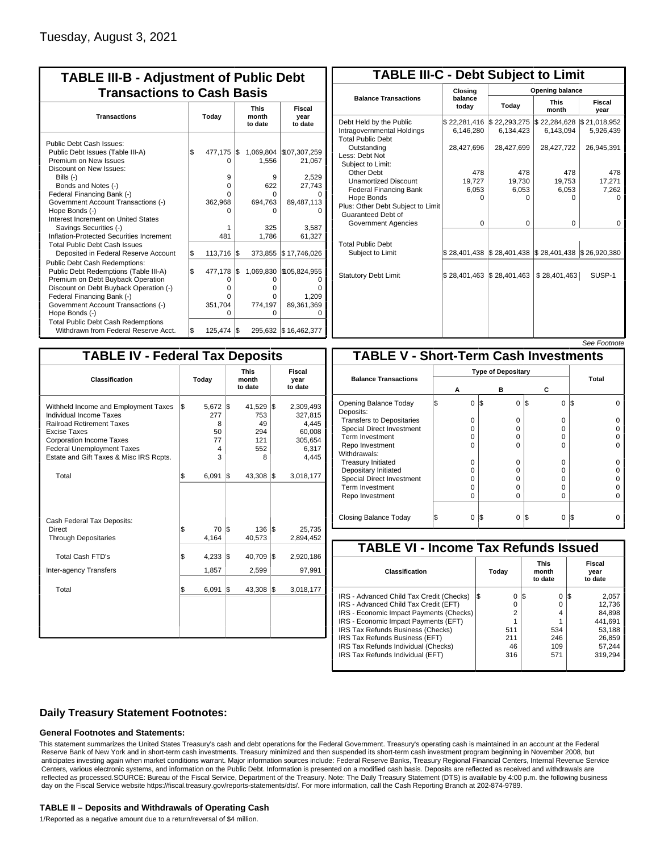| <b>TABLE III-B - Adjustment of Public Debt</b><br><b>Transactions to Cash Basis</b>                                                                                                                                                                                                         |           |                                                          |            |                                                     |                                                                      |                                 |                           |  |  |  |
|---------------------------------------------------------------------------------------------------------------------------------------------------------------------------------------------------------------------------------------------------------------------------------------------|-----------|----------------------------------------------------------|------------|-----------------------------------------------------|----------------------------------------------------------------------|---------------------------------|---------------------------|--|--|--|
| <b>Transactions</b>                                                                                                                                                                                                                                                                         |           | Today                                                    |            |                                                     |                                                                      | <b>This</b><br>month<br>to date | Fiscal<br>year<br>to date |  |  |  |
| Public Debt Cash Issues:<br>Public Debt Issues (Table III-A)<br>Premium on New Issues<br>Discount on New Issues:<br>Bills (-)<br>Bonds and Notes (-)<br>Federal Financing Bank (-)<br>Government Account Transactions (-)                                                                   | \$        | 477,175<br>O<br>9<br>0<br>U<br>362,968                   | l\$        | 1.556<br>9<br>622<br>O<br>694,763                   | 1,069,804   \$107,307,259<br>21,067<br>2,529<br>27,743<br>89,487,113 |                                 |                           |  |  |  |
| Hope Bonds (-)<br>Interest Increment on United States<br>Savings Securities (-)<br>Inflation-Protected Securities Increment<br><b>Total Public Debt Cash Issues</b>                                                                                                                         |           | n<br>481                                                 |            | o<br>325<br>1.786                                   | 3,587<br>61,327                                                      |                                 |                           |  |  |  |
| Deposited in Federal Reserve Account<br><b>Public Debt Cash Redemptions:</b><br>Public Debt Redemptions (Table III-A)<br>Premium on Debt Buyback Operation<br>Discount on Debt Buyback Operation (-)<br>Federal Financing Bank (-)<br>Government Account Transactions (-)<br>Hope Bonds (-) | \$<br>l\$ | 113,716<br>477,178<br>0<br>$\Omega$<br>O<br>351,704<br>O | 1\$<br>I\$ | 373,855<br>1,069,830<br>0<br>o<br>O<br>774,197<br>0 | \$17,746,026<br>\$105,824,955<br>n<br>1,209<br>89,361,369<br>O       |                                 |                           |  |  |  |
| <b>Total Public Debt Cash Redemptions</b><br>Withdrawn from Federal Reserve Acct.                                                                                                                                                                                                           | l\$       | 125,474                                                  | I\$        |                                                     | 295,632 \$16,462,377                                                 |                                 |                           |  |  |  |

| <b>TABLE III-C - Debt Subject to Limit</b>                                        |                           |                           |                           |                           |  |  |  |  |  |  |
|-----------------------------------------------------------------------------------|---------------------------|---------------------------|---------------------------|---------------------------|--|--|--|--|--|--|
|                                                                                   | Closing                   |                           | Opening balance           |                           |  |  |  |  |  |  |
| <b>Balance Transactions</b>                                                       | balance<br>todav          | Today                     | <b>This</b><br>month      | Fiscal<br>year            |  |  |  |  |  |  |
| Debt Held by the Public<br>Intragovernmental Holdings<br><b>Total Public Debt</b> | \$22,281,416<br>6,146,280 | \$22,293,275<br>6,134,423 | \$22,284,628<br>6,143,094 | \$21,018,952<br>5,926,439 |  |  |  |  |  |  |
| Outstanding<br>Less: Debt Not<br>Subject to Limit:                                | 28,427,696                | 28,427,699                | 28,427,722                | 26,945,391                |  |  |  |  |  |  |
| Other Debt                                                                        | 478                       | 478                       | 478                       | 478                       |  |  |  |  |  |  |
| <b>Unamortized Discount</b>                                                       | 19,727                    | 19,730                    | 19,753                    | 17,271                    |  |  |  |  |  |  |
| <b>Federal Financing Bank</b>                                                     | 6,053                     | 6,053                     | 6,053                     | 7,262                     |  |  |  |  |  |  |
| Hope Bonds<br>Plus: Other Debt Subject to Limit<br>Guaranteed Debt of             | $\Omega$                  | O                         | n                         | U                         |  |  |  |  |  |  |
| Government Agencies                                                               | $\Omega$                  | $\Omega$                  | $\Omega$                  | 0                         |  |  |  |  |  |  |
| <b>Total Public Debt</b><br>Subject to Limit                                      | \$28,401,438              | \$28,401,438              | \$28,401,438              | \$26,920,380              |  |  |  |  |  |  |
|                                                                                   |                           |                           |                           |                           |  |  |  |  |  |  |
| <b>Statutory Debt Limit</b>                                                       | \$28,401,463              | \$28,401,463              | \$28,401,463              | SUSP-1                    |  |  |  |  |  |  |
|                                                                                   |                           |                           |                           |                           |  |  |  |  |  |  |

| See Footnote |
|--------------|
|              |
|              |

| <b>TABLE IV - Federal Tax Deposits</b>                                                                                                                                                                                                        |                                               |     |                                                  |     |                                                                      |
|-----------------------------------------------------------------------------------------------------------------------------------------------------------------------------------------------------------------------------------------------|-----------------------------------------------|-----|--------------------------------------------------|-----|----------------------------------------------------------------------|
| <b>Classification</b>                                                                                                                                                                                                                         | Today                                         |     | <b>This</b><br>month<br>to date                  |     | Fiscal<br>year<br>to date                                            |
| Withheld Income and Employment Taxes<br>Individual Income Taxes<br><b>Railroad Retirement Taxes</b><br><b>Excise Taxes</b><br><b>Corporation Income Taxes</b><br><b>Federal Unemployment Taxes</b><br>Estate and Gift Taxes & Misc IRS Rcpts. | \$<br>5,672<br>277<br>8<br>50<br>77<br>4<br>3 | 1\$ | 41,529 \$<br>753<br>49<br>294<br>121<br>552<br>8 |     | 2,309,493<br>327,815<br>4,445<br>60,008<br>305,654<br>6,317<br>4,445 |
| Total                                                                                                                                                                                                                                         | \$<br>6,091                                   | 1\$ | 43,308 \$                                        |     | 3,018,177                                                            |
| Cash Federal Tax Deposits:<br>Direct<br><b>Through Depositaries</b>                                                                                                                                                                           | \$<br>70<br>4,164                             | l\$ | $136$ $\sqrt{5}$<br>40,573                       |     | 25,735<br>2,894,452                                                  |
| <b>Total Cash FTD's</b>                                                                                                                                                                                                                       | \$<br>4,233                                   | 1\$ | 40,709                                           | 1\$ | 2,920,186                                                            |
| Inter-agency Transfers                                                                                                                                                                                                                        | 1,857                                         |     | 2,599                                            |     | 97,991                                                               |
| Total                                                                                                                                                                                                                                         | \$<br>6,091                                   | 1\$ | 43,308                                           | l\$ | 3,018,177                                                            |
|                                                                                                                                                                                                                                               |                                               |     |                                                  |     |                                                                      |

|                                              |                           |          |     |          |         | <i><b>JEE FUULIUIE</b></i> |  |  |  |  |  |
|----------------------------------------------|---------------------------|----------|-----|----------|---------|----------------------------|--|--|--|--|--|
| <b>TABLE V - Short-Term Cash Investments</b> |                           |          |     |          |         |                            |  |  |  |  |  |
|                                              | <b>Type of Depositary</b> |          |     |          |         |                            |  |  |  |  |  |
| <b>Balance Transactions</b>                  |                           |          |     |          |         | Total                      |  |  |  |  |  |
|                                              |                           | А        |     | в        | С       |                            |  |  |  |  |  |
| Opening Balance Today<br>Deposits:           | S                         | $\Omega$ | 1\$ | 0        | S<br>0  | IS<br>U                    |  |  |  |  |  |
| <b>Transfers to Depositaries</b>             |                           | 0        |     | 0        | 0       |                            |  |  |  |  |  |
| <b>Special Direct Investment</b>             |                           | 0        |     | o        | 0       |                            |  |  |  |  |  |
| Term Investment                              |                           | 0        |     | 0        | 0       |                            |  |  |  |  |  |
| Repo Investment                              |                           | $\Omega$ |     | $\Omega$ | 0       |                            |  |  |  |  |  |
| Withdrawals:                                 |                           |          |     |          |         |                            |  |  |  |  |  |
| <b>Treasury Initiated</b>                    |                           | $\Omega$ |     | $\Omega$ | 0       |                            |  |  |  |  |  |
| Depositary Initiated                         |                           | 0        |     | O        | 0       |                            |  |  |  |  |  |
| <b>Special Direct Investment</b>             |                           | O        |     | U        | 0       |                            |  |  |  |  |  |
| <b>Term Investment</b>                       |                           | 0        |     | $\Omega$ | 0       |                            |  |  |  |  |  |
| Repo Investment                              |                           | 0        |     | $\Omega$ | 0       |                            |  |  |  |  |  |
|                                              |                           |          |     |          |         |                            |  |  |  |  |  |
| Closing Balance Today                        |                           | 0        | l\$ | 0        | 13<br>0 | IS                         |  |  |  |  |  |

| <b>TABLE VI - Income Tax Refunds Issued</b> |    |       |     |                                 |     |                           |  |  |  |  |
|---------------------------------------------|----|-------|-----|---------------------------------|-----|---------------------------|--|--|--|--|
| <b>Classification</b>                       |    | Today |     | <b>This</b><br>month<br>to date |     | Fiscal<br>year<br>to date |  |  |  |  |
| IRS - Advanced Child Tax Credit (Checks)    | 13 | 0     | 1\$ | 0                               | 125 | 2,057                     |  |  |  |  |
| IRS - Advanced Child Tax Credit (EFT)       |    | 0     |     | 0                               |     | 12.736                    |  |  |  |  |
| IRS - Economic Impact Payments (Checks)     |    | 2     |     | 4                               |     | 84.898                    |  |  |  |  |
| IRS - Economic Impact Payments (EFT)        |    |       |     |                                 |     | 441.691                   |  |  |  |  |
| IRS Tax Refunds Business (Checks)           |    | 511   |     | 534                             |     | 53.188                    |  |  |  |  |
| IRS Tax Refunds Business (EFT)              |    | 211   |     | 246                             |     | 26.859                    |  |  |  |  |
| IRS Tax Refunds Individual (Checks)         |    | 46    |     | 109                             |     | 57.244                    |  |  |  |  |
| IRS Tax Refunds Individual (EFT)            |    | 316   |     | 571                             |     | 319,294                   |  |  |  |  |
|                                             |    |       |     |                                 |     |                           |  |  |  |  |

## **Daily Treasury Statement Footnotes:**

### **General Footnotes and Statements:**

This statement summarizes the United States Treasury's cash and debt operations for the Federal Government. Treasury's operating cash is maintained in an account at the Federal Reserve Bank of New York and in short-term cash investments. Treasury minimized and then suspended its short-term cash investment program beginning in November 2008, but anticipates investing again when market conditions warrant. Major information sources include: Federal Reserve Banks, Treasury Regional Financial Centers, Internal Revenue Service Centers, various electronic systems, and information on the Public Debt. Information is presented on a modified cash basis. Deposits are reflected as received and withdrawals are reflected as processed.SOURCE: Bureau of the Fiscal Service, Department of the Treasury. Note: The Daily Treasury Statement (DTS) is available by 4:00 p.m. the following business day on the Fiscal Service website https://fiscal.treasury.gov/reports-statements/dts/. For more information, call the Cash Reporting Branch at 202-874-9789.

#### **TABLE II – Deposits and Withdrawals of Operating Cash**

1/Reported as a negative amount due to a return/reversal of \$4 million.